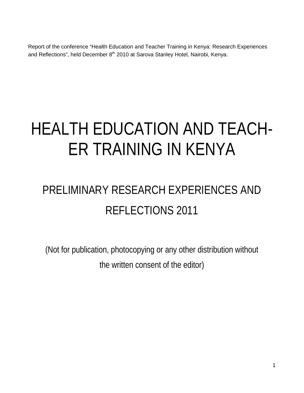Report of the conference "Health Education and Teacher Training in Kenya: Research Experiences and Reflections", held December 8<sup>th</sup> 2010 at Sarova Stanley Hotel, Nairobi, Kenya.

# HEALTH EDUCATION AND TEACH-ER TRAINING IN KENYA

## PRELIMINARY RESEARCH EXPERIENCES AND REFLECTIONS 2011

(Not for publication, photocopying or any other distribution without the written consent of the editor)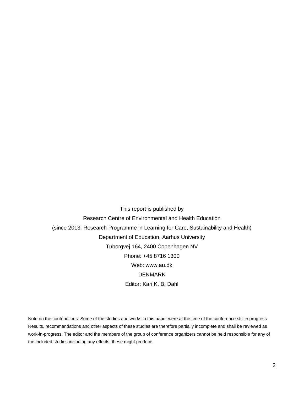This report is published by Research Centre of Environmental and Health Education (since 2013: Research Programme in Learning for Care, Sustainability and Health) Department of Education, Aarhus University Tuborgvej 164, 2400 Copenhagen NV Phone: +45 8716 1300 Web: www.au.dk DENMARK Editor: Kari K. B. Dahl

Note on the contributions: Some of the studies and works in this paper were at the time of the conference still in progress. Results, recommendations and other aspects of these studies are therefore partially incomplete and shall be reviewed as work-in-progress. The editor and the members of the group of conference organizers cannot be held responsible for any of the included studies including any effects, these might produce.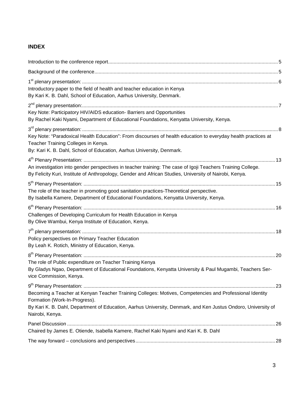## **INDEX**

| Introductory paper to the field of health and teacher education in Kenya<br>By Kari K. B. Dahl, School of Education, Aarhus University, Denmark.                                                                                                                             |  |
|------------------------------------------------------------------------------------------------------------------------------------------------------------------------------------------------------------------------------------------------------------------------------|--|
| Key Note: Participatory HIV/AIDS education- Barriers and Opportunities<br>By Rachel Kaki Nyami, Department of Educational Foundations, Kenyatta University, Kenya.                                                                                                           |  |
| Key Note: "Paradoxical Health Education": From discourses of health education to everyday health practices at<br>Teacher Training Colleges in Kenya.<br>By: Kari K. B. Dahl, School of Education, Aarhus University, Denmark.                                                |  |
| An investigation into gender perspectives in teacher training: The case of Igoji Teachers Training College.<br>By Felicity Kuri, Institute of Anthropology, Gender and African Studies, University of Nairobi, Kenya.                                                        |  |
| The role of the teacher in promoting good sanitation practices-Theoretical perspective.<br>By Isabella Kamere, Department of Educational Foundations, Kenyatta University, Kenya.                                                                                            |  |
| Challenges of Developing Curriculum for Health Education in Kenya<br>By Olive Wambui, Kenya Institute of Education, Kenya.                                                                                                                                                   |  |
| Policy perspectives on Primary Teacher Education<br>By Leah K. Rotich, Ministry of Education, Kenya.                                                                                                                                                                         |  |
| The role of Public expenditure on Teacher Training Kenya<br>By Gladys Ngao, Department of Educational Foundations, Kenyatta University & Paul Mugambi, Teachers Ser-<br>vice Commission, Kenya.                                                                              |  |
| Becoming a Teacher at Kenyan Teacher Training Colleges: Motives, Competencies and Professional Identity<br>Formation (Work-In-Progress).<br>By Kari K. B. Dahl, Department of Education, Aarhus University, Denmark, and Ken Justus Ondoro, University of<br>Nairobi, Kenya. |  |
| Chaired by James E. Otiende, Isabella Kamere, Rachel Kaki Nyami and Kari K. B. Dahl                                                                                                                                                                                          |  |
|                                                                                                                                                                                                                                                                              |  |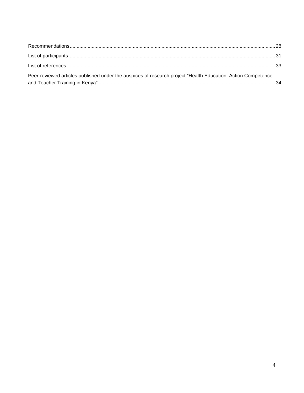| Peer-reviewed articles published under the auspices of research project "Health Education, Action Competence |  |
|--------------------------------------------------------------------------------------------------------------|--|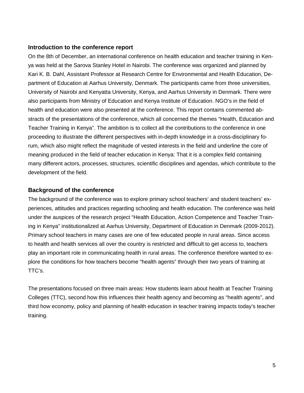#### **Introduction to the conference report**

On the 8th of December, an international conference on health education and teacher training in Kenya was held at the Sarova Stanley Hotel in Nairobi. The conference was organized and planned by Kari K. B. Dahl, Assistant Professor at Research Centre for Environmental and Health Education, Department of Education at Aarhus University, Denmark. The participants came from three universities, University of Nairobi and Kenyatta University, Kenya, and Aarhus University in Denmark. There were also participants from Ministry of Education and Kenya Institute of Education. NGO's in the field of health and education were also presented at the conference. This report contains commented abstracts of the presentations of the conference, which all concerned the themes "Health, Education and Teacher Training in Kenya". The ambition is to collect all the contributions to the conference in one proceeding to illustrate the different perspectives with in-depth knowledge in a cross-disciplinary forum, which also might reflect the magnitude of vested interests in the field and underline the core of meaning produced in the field of teacher education in Kenya: That it is a complex field containing many different actors, processes, structures, scientific disciplines and agendas, which contribute to the development of the field.

#### **Background of the conference**

The background of the conference was to explore primary school teachers' and student teachers' experiences, attitudes and practices regarding schooling and health education. The conference was held under the auspices of the research project "Health Education, Action Competence and Teacher Training in Kenya" institutionalized at Aarhus University, Department of Education in Denmark (2009-2012). Primary school teachers in many cases are one of few educated people in rural areas. Since access to health and health services all over the country is restricted and difficult to get access to, teachers play an important role in communicating health in rural areas. The conference therefore wanted to explore the conditions for how teachers become "health agents" through their two years of training at TTC's.

The presentations focused on three main areas: How students learn about health at Teacher Training Colleges (TTC), second how this influences their health agency and becoming as "health agents", and third how economy, policy and planning of health education in teacher training impacts today's teacher training.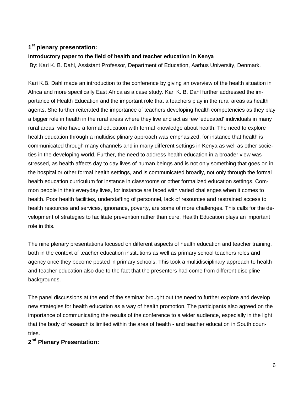## **1st plenary presentation:**

#### **Introductory paper to the field of health and teacher education in Kenya**

By: Kari K. B. Dahl, Assistant Professor, Department of Education, Aarhus University, Denmark.

Kari K.B. Dahl made an introduction to the conference by giving an overview of the health situation in Africa and more specifically East Africa as a case study. Kari K. B. Dahl further addressed the importance of Health Education and the important role that a teachers play in the rural areas as health agents. She further reiterated the importance of teachers developing health competencies as they play a bigger role in health in the rural areas where they live and act as few 'educated' individuals in many rural areas, who have a formal education with formal knowledge about health. The need to explore health education through a multidisciplinary approach was emphasized, for instance that health is communicated through many channels and in many different settings in Kenya as well as other societies in the developing world. Further, the need to address health education in a broader view was stressed, as health affects day to day lives of human beings and is not only something that goes on in the hospital or other formal health settings, and is communicated broadly, not only through the formal health education curriculum for instance in classrooms or other formalized education settings. Common people in their everyday lives, for instance are faced with varied challenges when it comes to health. Poor health facilities, understaffing of personnel, lack of resources and restrained access to health resources and services, ignorance, poverty, are some of more challenges. This calls for the development of strategies to facilitate prevention rather than cure. Health Education plays an important role in this.

The nine plenary presentations focused on different aspects of health education and teacher training, both in the context of teacher education institutions as well as primary school teachers roles and agency once they become posted in primary schools. This took a multidisciplinary approach to health and teacher education also due to the fact that the presenters had come from different discipline backgrounds.

The panel discussions at the end of the seminar brought out the need to further explore and develop new strategies for health education as a way of health promotion. The participants also agreed on the importance of communicating the results of the conference to a wider audience, especially in the light that the body of research is limited within the area of health - and teacher education in South countries.

## **2nd Plenary Presentation:**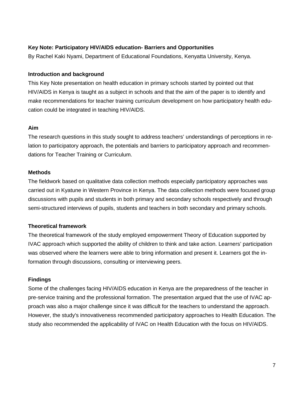#### **Key Note: Participatory HIV/AIDS education- Barriers and Opportunities**

By Rachel Kaki Nyami, Department of Educational Foundations, Kenyatta University, Kenya.

#### **Introduction and background**

This Key Note presentation on health education in primary schools started by pointed out that HIV/AIDS in Kenya is taught as a subject in schools and that the aim of the paper is to identify and make recommendations for teacher training curriculum development on how participatory health education could be integrated in teaching HIV/AIDS.

#### **Aim**

The research questions in this study sought to address teachers' understandings of perceptions in relation to participatory approach, the potentials and barriers to participatory approach and recommendations for Teacher Training or Curriculum.

#### **Methods**

The fieldwork based on qualitative data collection methods especially participatory approaches was carried out in Kyatune in Western Province in Kenya. The data collection methods were focused group discussions with pupils and students in both primary and secondary schools respectively and through semi-structured interviews of pupils, students and teachers in both secondary and primary schools.

#### **Theoretical framework**

The theoretical framework of the study employed empowerment Theory of Education supported by IVAC approach which supported the ability of children to think and take action. Learners' participation was observed where the learners were able to bring information and present it. Learners got the information through discussions, consulting or interviewing peers.

#### **Findings**

Some of the challenges facing HIV/AIDS education in Kenya are the preparedness of the teacher in pre-service training and the professional formation. The presentation argued that the use of IVAC approach was also a major challenge since it was difficult for the teachers to understand the approach. However, the study's innovativeness recommended participatory approaches to Health Education. The study also recommended the applicability of IVAC on Health Education with the focus on HIV/AIDS.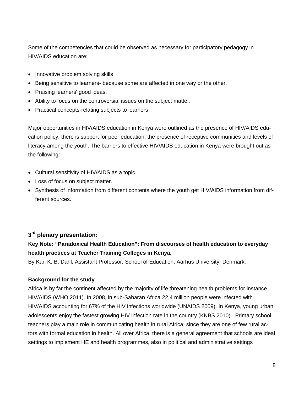Some of the competencies that could be observed as necessary for participatory pedagogy in HIV/AIDS education are:

- Innovative problem solving skills
- Being sensitive to learners- because some are affected in one way or the other.
- Praising learners' good ideas.
- Ability to focus on the controversial issues on the subject matter.
- Practical concepts-relating subjects to learners

Major opportunities in HIV/AIDS education in Kenya were outlined as the presence of HIV/AIDS education policy, there is support for peer education, the presence of receptive communities and levels of literacy among the youth. The barriers to effective HIV/AIDS education in Kenya were brought out as the following:

- Cultural sensitivity of HIV/AIDS as a topic.
- Loss of focus on subject matter.
- Synthesis of information from different contents where the youth get HIV/AIDS information from different sources.

## **3rd plenary presentation:**

## **Key Note: "Paradoxical Health Education": From discourses of health education to everyday health practices at Teacher Training Colleges in Kenya.**

By Kari K. B. Dahl, Assistant Professor, School of Education, Aarhus University, Denmark.

#### **Background for the study**

Africa is by far the continent affected by the majority of life threatening health problems for instance HIV/AIDS (WHO 2011). In 2008, in sub-Saharan Africa 22,4 million people were infected with HIV/AIDS accounting for 67% of the HIV infections worldwide (UNAIDS 2009). In Kenya, young urban adolescents enjoy the fastest growing HIV infection rate in the country (KNBS 2010). Primary school teachers play a main role in communicating health in rural Africa, since they are one of few rural actors with formal education in health. All over Africa, there is a general agreement that schools are ideal settings to implement HE and health programmes, also in political and administrative settings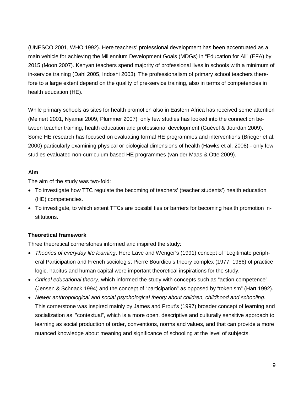(UNESCO 2001, WHO 1992). Here teachers' professional development has been accentuated as a main vehicle for achieving the Millennium Development Goals (MDGs) in "Education for All" (EFA) by 2015 (Moon 2007). Kenyan teachers spend majority of professional lives in schools with a minimum of in-service training (Dahl 2005, Indoshi 2003). The professionalism of primary school teachers therefore to a large extent depend on the quality of pre-service training, also in terms of competencies in health education (HE).

While primary schools as sites for health promotion also in Eastern Africa has received some attention (Meinert 2001, Nyamai 2009, Plummer 2007), only few studies has looked into the connection between teacher training, health education and professional development (Guével & Jourdan 2009). Some HE research has focused on evaluating formal HE programmes and interventions (Brieger et al. 2000) particularly examining physical or biological dimensions of health (Hawks et al. 2008) - only few studies evaluated non-curriculum based HE programmes (van der Maas & Otte 2009).

#### **Aim**

The aim of the study was two-fold:

- To investigate how TTC regulate the becoming of teachers' (teacher students') health education (HE) competencies.
- To investigate, to which extent TTCs are possibilities or barriers for becoming health promotion institutions.

## **Theoretical framework**

Three theoretical cornerstones informed and inspired the study:

- *Theories of everyday life learning*. Here Lave and Wenger's (1991) concept of "Legitimate peripheral Participation and French sociologist Pierre Bourdieu's theory complex (1977, 1986) of practice logic, habitus and human capital were important theoretical inspirations for the study.
- *Critical educational theory*, which informed the study with concepts such as "action competence" (Jensen & Schnack 1994) and the concept of "participation" as opposed by "tokenism" (Hart 1992).
- *Newer anthropological and social psychological theory about children, childhood and schooling*. This cornerstone was inspired mainly by James and Prout's (1997) broader concept of learning and socialization as "contextual", which is a more open, descriptive and culturally sensitive approach to learning as social production of order, conventions, norms and values, and that can provide a more nuanced knowledge about meaning and significance of schooling at the level of subjects.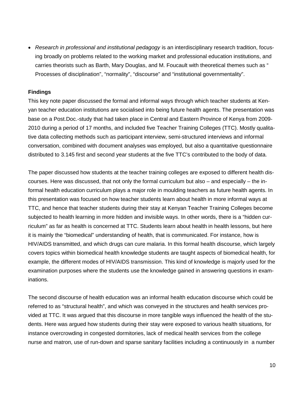• *Research in professional and institutional pedagogy* is an interdisciplinary research tradition, focusing broadly on problems related to the working market and professional education institutions, and carries theorists such as Barth, Mary Douglas, and M. Foucault with theoretical themes such as " Processes of disciplination", "normality", "discourse" and "institutional governmentality".

#### **Findings**

This key note paper discussed the formal and informal ways through which teacher students at Kenyan teacher education institutions are socialised into being future health agents. The presentation was base on a Post.Doc.-study that had taken place in Central and Eastern Province of Kenya from 2009- 2010 during a period of 17 months, and included five Teacher Training Colleges (TTC). Mostly qualitative data collecting methods such as participant interview, semi-structured interviews and informal conversation, combined with document analyses was employed, but also a quantitative questionnaire distributed to 3.145 first and second year students at the five TTC's contributed to the body of data.

The paper discussed how students at the teacher training colleges are exposed to different health discourses. Here was discussed, that not only the formal curriculum but also – and especially – the informal health education curriculum plays a major role in moulding teachers as future health agents. In this presentation was focused on how teacher students learn about health in more informal ways at TTC, and hence that teacher students during their stay at Kenyan Teacher Training Colleges become subjected to health learning in more hidden and invisible ways. In other words, there is a "hidden curriculum" as far as health is concerned at TTC. Students learn about health in health lessons, but here it is mainly the "biomedical" understanding of health, that is communicated. For instance, how is HIV/AIDS transmitted, and which drugs can cure malaria. In this formal health discourse, which largely covers topics within biomedical health knowledge students are taught aspects of biomedical health, for example, the different modes of HIV/AIDS transmission. This kind of knowledge is majorly used for the examination purposes where the students use the knowledge gained in answering questions in examinations.

The second discourse of health education was an informal health education discourse which could be referred to as "structural health", and which was conveyed in the structures and health services provided at TTC. It was argued that this discourse in more tangible ways influenced the health of the students. Here was argued how students during their stay were exposed to various health situations, for instance overcrowding in congested dormitories, lack of medical health services from the college nurse and matron, use of run-down and sparse sanitary facilities including a continuously in a number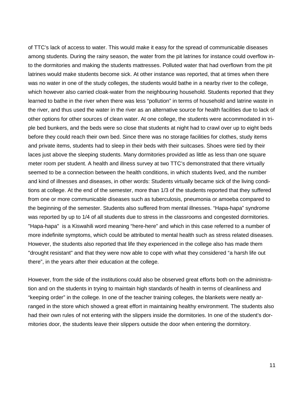of TTC's lack of access to water. This would make it easy for the spread of communicable diseases among students. During the rainy season, the water from the pit latrines for instance could overflow into the dormitories and making the students mattresses. Polluted water that had overflown from the pit latrines would make students become sick. At other instance was reported, that at times when there was no water in one of the study colleges, the students would bathe in a nearby river to the college, which however also carried cloak-water from the neighbouring household. Students reported that they learned to bathe in the river when there was less "pollution" in terms of household and latrine waste in the river, and thus used the water in the river as an alternative source for health facilities due to lack of other options for other sources of clean water. At one college, the students were accommodated in triple bed bunkers, and the beds were so close that students at night had to crawl over up to eight beds before they could reach their own bed. Since there was no storage facilities for clothes, study items and private items, students had to sleep in their beds with their suitcases. Shoes were tied by their laces just above the sleeping students. Many dormitories provided as little as less than one square meter room per student. A health and illness survey at two TTC's demonstrated that there virtually seemed to be a connection between the health conditions, in which students lived, and the number and kind of illnesses and diseases, in other words: Students virtually became sick of the living conditions at college. At the end of the semester, more than 1/3 of the students reported that they suffered from one or more communicable diseases such as tuberculosis, pneumonia or amoeba compared to the beginning of the semester. Students also suffered from mental illnesses. "Hapa-hapa" syndrome was reported by up to 1/4 of all students due to stress in the classrooms and congested dormitories. "Hapa-hapa" is a Kiswahili word meaning "here-here" and which in this case referred to a number of more indefinite symptoms, which could be attributed to mental health such as stress related diseases. However, the students also reported that life they experienced in the college also has made them "drought resistant" and that they were now able to cope with what they considered "a harsh life out there", in the years after their education at the college.

However, from the side of the institutions could also be observed great efforts both on the administration and on the students in trying to maintain high standards of health in terms of cleanliness and "keeping order" in the college. In one of the teacher training colleges, the blankets were neatly arranged in the store which showed a great effort in maintaining healthy environment. The students also had their own rules of not entering with the slippers inside the dormitories. In one of the student's dormitories door, the students leave their slippers outside the door when entering the dormitory.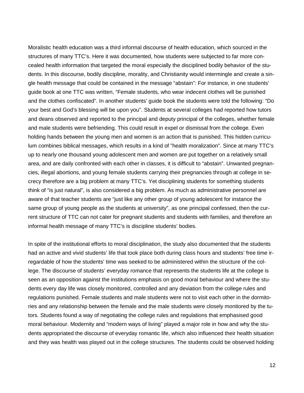Moralistic health education was a third informal discourse of health education, which sourced in the structures of many TTC's. Here it was documented, how students were subjected to far more concealed health information that targeted the moral especially the disciplined bodily behavior of the students. In this discourse, bodily discipline, morality, and Christianity would intermingle and create a single health message that could be contained in the message "abstain": For instance, in one students' guide book at one TTC was written, "Female students, who wear indecent clothes will be punished and the clothes confiscated". In another students' guide book the students were told the following: "Do your best and God's blessing will be upon you". Students at several colleges had reported how tutors and deans observed and reported to the principal and deputy principal of the colleges, whether female and male students were befriending. This could result in expel or dismissal from the college. Even holding hands between the young men and women is an action that is punished. This hidden curriculum combines biblical messages, which results in a kind of "health moralization". Since at many TTC's up to nearly one thousand young adolescent men and women are put together on a relatively small area, and are daily confronted with each other in classes, it is difficult to "abstain". Unwanted pregnancies, illegal abortions, and young female students carrying their pregnancies through at college in secrecy therefore are a big problem at many TTC's. Yet disciplining students for something students think of "is just natural", is also considered a big problem. As much as administrative personnel are aware of that teacher students are "just like any other group of young adolescent for instance the same group of young people as the students at university", as one principal confessed, then the current structure of TTC can not cater for pregnant students and students with families, and therefore an informal health message of many TTC's is discipline students' bodies.

In spite of the institutional efforts to moral disciplination, the study also documented that the students had an active and vivid students' life that took place both during class hours and students' free time irregardable of how the students' time was seeked to be administered within the structure of the college. The discourse of students' everyday romance that represents the students life at the college is seen as an opposition against the institutions emphasis on good moral behaviour and where the students every day life was closely monitored, controlled and any deviation from the college rules and regulations punished. Female students and male students were not to visit each other in the dormitories and any relationship between the female and the male students were closely monitored by the tutors. Students found a way of negotiating the college rules and regulations that emphasised good moral behaviour. Modernity and "modern ways of living" played a major role in how and why the students appropriated the discourse of everyday romantic life, which also influenced their health situation and they was health was played out in the college structures. The students could be observed holding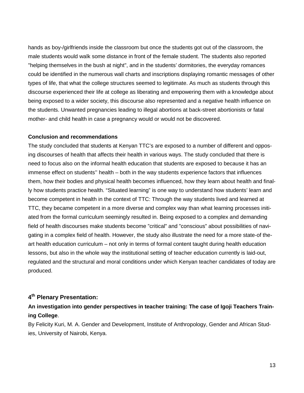hands as boy-/girlfriends inside the classroom but once the students got out of the classroom, the male students would walk some distance in front of the female student. The students also reported "helping themselves in the bush at night", and in the students' dormitories, the everyday romances could be identified in the numerous wall charts and inscriptions displaying romantic messages of other types of life, that what the college structures seemed to legitimate. As much as students through this discourse experienced their life at college as liberating and empowering them with a knowledge about being exposed to a wider society, this discourse also represented and a negative health influence on the students. Unwanted pregnancies leading to illegal abortions at back-street abortionists or fatal mother- and child health in case a pregnancy would or would not be discovered.

#### **Conclusion and recommendations**

The study concluded that students at Kenyan TTC's are exposed to a number of different and opposing discourses of health that affects their health in various ways. The study concluded that there is need to focus also on the informal health education that students are exposed to because it has an immense effect on students'' health – both in the way students experience factors that influences them, how their bodies and physical health becomes influenced, how they learn about health and finally how students practice health. "Situated learning" is one way to understand how students' learn and become competent in health in the context of TTC: Through the way students lived and learned at TTC, they became competent in a more diverse and complex way than what learning processes initiated from the formal curriculum seemingly resulted in. Being exposed to a complex and demanding field of health discourses make students become "critical" and "conscious" about possibilities of navigating in a complex field of health. However, the study also illustrate the need for a more state-of theart health education curriculum – not only in terms of formal content taught during health education lessons, but also in the whole way the institutional setting of teacher education currently is laid-out, regulated and the structural and moral conditions under which Kenyan teacher candidates of today are produced.

## **4th Plenary Presentation:**

## **An investigation into gender perspectives in teacher training: The case of Igoji Teachers Training College**.

By Felicity Kuri, M. A. Gender and Development, Institute of Anthropology, Gender and African Studies, University of Nairobi, Kenya.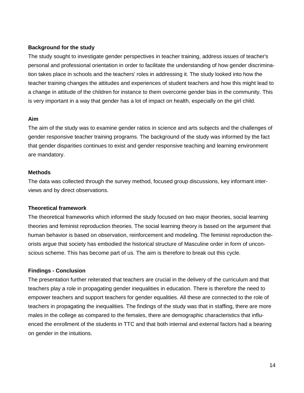#### **Background for the study**

The study sought to investigate gender perspectives in teacher training, address issues of teacher's personal and professional orientation in order to facilitate the understanding of how gender discrimination takes place in schools and the teachers' roles in addressing it. The study looked into how the teacher training changes the attitudes and experiences of student teachers and how this might lead to a change in attitude of the children for instance to them overcome gender bias in the community. This is very important in a way that gender has a lot of impact on health, especially on the girl child.

#### **Aim**

The aim of the study was to examine gender ratios in science and arts subjects and the challenges of gender responsive teacher training programs. The background of the study was informed by the fact that gender disparities continues to exist and gender responsive teaching and learning environment are mandatory.

#### **Methods**

The data was collected through the survey method, focused group discussions, key informant interviews and by direct observations.

#### **Theoretical framework**

The theoretical frameworks which informed the study focused on two major theories, social learning theories and feminist reproduction theories. The social learning theory is based on the argument that human behavior is based on observation, reinforcement and modeling. The feminist reproduction theorists argue that society has embodied the historical structure of Masculine order in form of unconscious scheme. This has become part of us. The aim is therefore to break out this cycle.

#### **Findings - Conclusion**

The presentation further reiterated that teachers are crucial in the delivery of the curriculum and that teachers play a role in propagating gender inequalities in education. There is therefore the need to empower teachers and support teachers for gender equalities. All these are connected to the role of teachers in propagating the inequalities. The findings of the study was that in staffing, there are more males in the college as compared to the females, there are demographic characteristics that influenced the enrollment of the students in TTC and that both internal and external factors had a bearing on gender in the intuitions.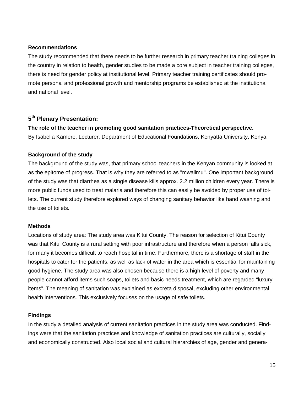#### **Recommendations**

The study recommended that there needs to be further research in primary teacher training colleges in the country in relation to health, gender studies to be made a core subject in teacher training colleges, there is need for gender policy at institutional level, Primary teacher training certificates should promote personal and professional growth and mentorship programs be established at the institutional and national level.

#### **5th Plenary Presentation:**

## **The role of the teacher in promoting good sanitation practices-Theoretical perspective.**

By Isabella Kamere, Lecturer, Department of Educational Foundations, Kenyatta University, Kenya.

#### **Background of the study**

The background of the study was, that primary school teachers in the Kenyan community is looked at as the epitome of progress. That is why they are referred to as "mwalimu". One important background of the study was that diarrhea as a single disease kills approx. 2.2 million children every year. There is more public funds used to treat malaria and therefore this can easily be avoided by proper use of toilets. The current study therefore explored ways of changing sanitary behavior like hand washing and the use of toilets.

#### **Methods**

Locations of study area: The study area was Kitui County. The reason for selection of Kitui County was that Kitui County is a rural setting with poor infrastructure and therefore when a person falls sick, for many it becomes difficult to reach hospital in time. Furthermore, there is a shortage of staff in the hospitals to cater for the patients, as well as lack of water in the area which is essential for maintaining good hygiene. The study area was also chosen because there is a high level of poverty and many people cannot afford items such soaps, toilets and basic needs treatment, which are regarded "luxury items". The meaning of sanitation was explained as excreta disposal, excluding other environmental health interventions. This exclusively focuses on the usage of safe toilets.

#### **Findings**

In the study a detailed analysis of current sanitation practices in the study area was conducted. Findings were that the sanitation practices and knowledge of sanitation practices are culturally, socially and economically constructed. Also local social and cultural hierarchies of age, gender and genera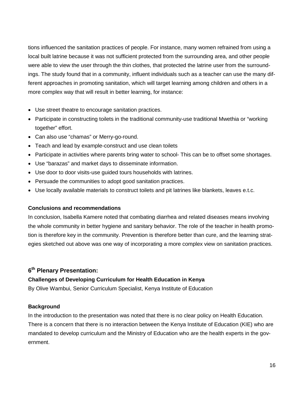tions influenced the sanitation practices of people. For instance, many women refrained from using a local built latrine because it was not sufficient protected from the surrounding area, and other people were able to view the user through the thin clothes, that protected the latrine user from the surroundings. The study found that in a community, influent individuals such as a teacher can use the many different approaches in promoting sanitation, which will target learning among children and others in a more complex way that will result in better learning, for instance:

- Use street theatre to encourage sanitation practices.
- Participate in constructing toilets in the traditional community-use traditional Mwethia or "working together" effort.
- Can also use "chamas" or Merry-go-round.
- Teach and lead by example-construct and use clean toilets
- Participate in activities where parents bring water to school- This can be to offset some shortages.
- Use "barazas" and market days to disseminate information.
- Use door to door visits-use guided tours households with latrines.
- Persuade the communities to adopt good sanitation practices.
- Use locally available materials to construct toilets and pit latrines like blankets, leaves e.t.c.

#### **Conclusions and recommendations**

In conclusion, Isabella Kamere noted that combating diarrhea and related diseases means involving the whole community in better hygiene and sanitary behavior. The role of the teacher in health promotion is therefore key in the community. Prevention is therefore better than cure, and the learning strategies sketched out above was one way of incorporating a more complex view on sanitation practices.

## **6th Plenary Presentation:**

#### **Challenges of Developing Curriculum for Health Education in Kenya**

By Olive Wambui, Senior Curriculum Specialist, Kenya Institute of Education

#### **Background**

In the introduction to the presentation was noted that there is no clear policy on Health Education. There is a concern that there is no interaction between the Kenya Institute of Education (KIE) who are mandated to develop curriculum and the Ministry of Education who are the health experts in the government.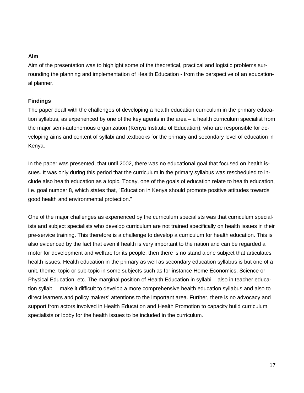#### **Aim**

Aim of the presentation was to highlight some of the theoretical, practical and logistic problems surrounding the planning and implementation of Health Education - from the perspective of an educational planner.

#### **Findings**

The paper dealt with the challenges of developing a health education curriculum in the primary education syllabus, as experienced by one of the key agents in the area – a health curriculum specialist from the major semi-autonomous organization (Kenya Institute of Education), who are responsible for developing aims and content of syllabi and textbooks for the primary and secondary level of education in Kenya.

In the paper was presented, that until 2002, there was no educational goal that focused on health issues. It was only during this period that the curriculum in the primary syllabus was rescheduled to include also health education as a topic. Today, one of the goals of education relate to health education, i.e. goal number 8, which states that, "Education in Kenya should promote positive attitudes towards good health and environmental protection."

One of the major challenges as experienced by the curriculum specialists was that curriculum specialists and subject specialists who develop curriculum are not trained specifically on health issues in their pre-service training. This therefore is a challenge to develop a curriculum for health education. This is also evidenced by the fact that even if health is very important to the nation and can be regarded a motor for development and welfare for its people, then there is no stand alone subject that articulates health issues. Health education in the primary as well as secondary education syllabus is but one of a unit, theme, topic or sub-topic in some subjects such as for instance Home Economics, Science or Physical Education, etc. The marginal position of Health Education in syllabi – also in teacher education syllabi – make it difficult to develop a more comprehensive health education syllabus and also to direct learners and policy makers' attentions to the important area. Further, there is no advocacy and support from actors involved in Health Education and Health Promotion to capacity build curriculum specialists or lobby for the health issues to be included in the curriculum.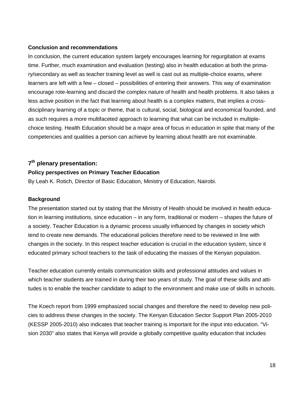#### **Conclusion and recommendations**

In conclusion, the current education system largely encourages learning for regurgitation at exams time. Further, much examination and evaluation (testing) also in health education at both the primary/secondary as well as teacher training level as well is cast out as multiple-choice exams, where learners are left with a few – closed – possibilities of entering their answers. This way of examination encourage rote-learning and discard the complex nature of health and health problems. It also takes a less active position in the fact that learning about health is a complex matters, that implies a crossdisciplinary learning of a topic or theme, that is cultural, social, biological and economical founded, and as such requires a more multifaceted approach to learning that what can be included in multiplechoice testing. Health Education should be a major area of focus in education in spite that many of the competencies and qualities a person can achieve by learning about health are not examinable.

#### **7th plenary presentation:**

#### **Policy perspectives on Primary Teacher Education**

By Leah K. Rotich, Director of Basic Education, Ministry of Education, Nairobi.

#### **Background**

The presentation started out by stating that the Ministry of Health should be involved in health education in learning institutions, since education – in any form, traditional or modern – shapes the future of a society. Teacher Education is a dynamic process usually influenced by changes in society which tend to create new demands. The educational policies therefore need to be reviewed in line with changes in the society. In this respect teacher education is crucial in the education system, since it educated primary school teachers to the task of educating the masses of the Kenyan population.

Teacher education currently entails communication skills and professional attitudes and values in which teacher students are trained in during their two years of study. The goal of these skills and attitudes is to enable the teacher candidate to adapt to the environment and make use of skills in schools.

The Koech report from 1999 emphasized social changes and therefore the need to develop new policies to address these changes in the society. The Kenyan Education Sector Support Plan 2005-2010 (KESSP 2005-2010) also indicates that teacher training is important for the input into education. "Vision 2030" also states that Kenya will provide a globally competitive quality education that includes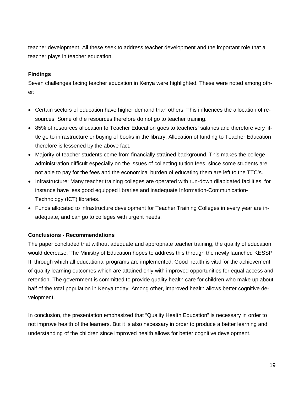teacher development. All these seek to address teacher development and the important role that a teacher plays in teacher education.

#### **Findings**

Seven challenges facing teacher education in Kenya were highlighted. These were noted among other:

- Certain sectors of education have higher demand than others. This influences the allocation of resources. Some of the resources therefore do not go to teacher training.
- 85% of resources allocation to Teacher Education goes to teachers' salaries and therefore very little go to infrastructure or buying of books in the library. Allocation of funding to Teacher Education therefore is lessened by the above fact.
- Majority of teacher students come from financially strained background. This makes the college administration difficult especially on the issues of collecting tuition fees, since some students are not able to pay for the fees and the economical burden of educating them are left to the TTC's.
- Infrastructure: Many teacher training colleges are operated with run-down dilapidated facilities, for instance have less good equipped libraries and inadequate Information-Communication-Technology (ICT) libraries.
- Funds allocated to infrastructure development for Teacher Training Colleges in every year are inadequate, and can go to colleges with urgent needs.

#### **Conclusions - Recommendations**

The paper concluded that without adequate and appropriate teacher training, the quality of education would decrease. The Ministry of Education hopes to address this through the newly launched KESSP II, through which all educational programs are implemented. Good health is vital for the achievement of quality learning outcomes which are attained only with improved opportunities for equal access and retention. The government is committed to provide quality health care for children who make up about half of the total population in Kenya today. Among other, improved health allows better cognitive development.

In conclusion, the presentation emphasized that "Quality Health Education" is necessary in order to not improve health of the learners. But it is also necessary in order to produce a better learning and understanding of the children since improved health allows for better cognitive development.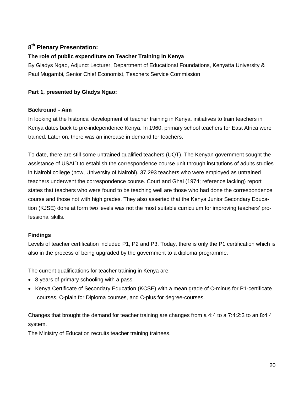## **8th Plenary Presentation:**

## **The role of public expenditure on Teacher Training in Kenya**

By Gladys Ngao, Adjunct Lecturer, Department of Educational Foundations, Kenyatta University & Paul Mugambi, Senior Chief Economist, Teachers Service Commission

#### **Part 1, presented by Gladys Ngao:**

#### **Backround - Aim**

In looking at the historical development of teacher training in Kenya, initiatives to train teachers in Kenya dates back to pre-independence Kenya. In 1960, primary school teachers for East Africa were trained. Later on, there was an increase in demand for teachers.

To date, there are still some untrained qualified teachers (UQT). The Kenyan government sought the assistance of USAID to establish the correspondence course unit through institutions of adults studies in Nairobi college (now, University of Nairobi). 37,293 teachers who were employed as untrained teachers underwent the correspondence course. Court and Ghai (1974; reference lacking) report states that teachers who were found to be teaching well are those who had done the correspondence course and those not with high grades. They also asserted that the Kenya Junior Secondary Education (KJSE) done at form two levels was not the most suitable curriculum for improving teachers' professional skills.

#### **Findings**

Levels of teacher certification included P1, P2 and P3. Today, there is only the P1 certification which is also in the process of being upgraded by the government to a diploma programme.

The current qualifications for teacher training in Kenya are:

- 8 years of primary schooling with a pass.
- Kenya Certificate of Secondary Education (KCSE) with a mean grade of C-minus for P1-certificate courses, C-plain for Diploma courses, and C-plus for degree-courses.

Changes that brought the demand for teacher training are changes from a 4:4 to a 7:4:2:3 to an 8:4:4 system.

The Ministry of Education recruits teacher training trainees.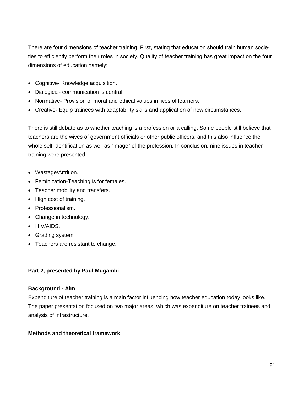There are four dimensions of teacher training. First, stating that education should train human societies to efficiently perform their roles in society. Quality of teacher training has great impact on the four dimensions of education namely:

- Cognitive- Knowledge acquisition.
- Dialogical- communication is central.
- Normative- Provision of moral and ethical values in lives of learners.
- Creative- Equip trainees with adaptability skills and application of new circumstances.

There is still debate as to whether teaching is a profession or a calling. Some people still believe that teachers are the wives of government officials or other public officers, and this also influence the whole self-identification as well as "image" of the profession. In conclusion, nine issues in teacher training were presented:

- Wastage/Attrition.
- Feminization-Teaching is for females.
- Teacher mobility and transfers.
- High cost of training.
- Professionalism.
- Change in technology.
- HIV/AIDS.
- Grading system.
- Teachers are resistant to change.

#### **Part 2, presented by Paul Mugambi**

#### **Background - Aim**

Expenditure of teacher training is a main factor influencing how teacher education today looks like. The paper presentation focused on two major areas, which was expenditure on teacher trainees and analysis of infrastructure.

#### **Methods and theoretical framework**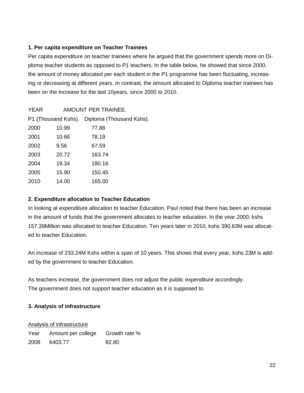#### **1. Per capita expenditure on Teacher Trainees**

Per capita expenditure on teacher trainees where he argued that the government spends more on Diploma teacher students as opposed to P1 teachers. In the table below, he showed that since 2000, the amount of money allocated per each student in the P1 programme has been fluctuating, increasing or decreasing at different years. In contrast, the amount allocated to Diploma teacher trainees has been on the increase for the last 10years, since 2000 to 2010.

| <b>YEAR</b> |       | AMOUNT PER TRAINEE.                          |
|-------------|-------|----------------------------------------------|
|             |       | P1 (Thousand Kshs). Diploma (Thousand Kshs). |
| 2000        | 10.99 | 77.88                                        |
| 2001        | 10.66 | 78.19                                        |
| 2002        | 9.56  | 67.59                                        |
| 2003        | 20.72 | 163.74                                       |
| 2004        | 19.34 | 180.16                                       |
| 2005        | 15.90 | 150.45                                       |
| 2010        | 14.00 | 165.00                                       |

#### **2. Expenditure allocation to Teacher Education**

In looking at expenditure allocation to teacher Education, Paul noted that there has been an increase in the amount of funds that the government allocates to teacher education. In the year 2000, kshs 157.39Million was allocated to teacher Education. Ten years later in 2010, kshs 390.63M was allocated to teacher Education.

An increase of 233.24M Kshs within a span of 10 years. This shows that every year, kshs 23M is added by the government to teacher Education.

As teachers increase, the government does not adjust the public expenditure accordingly. The government does not support teacher education as it is supposed to.

#### **3. Analysis of infrastructure**

#### Analysis of infrastructure

Year Amount per college Growth rate % 2008 6403.77 82.80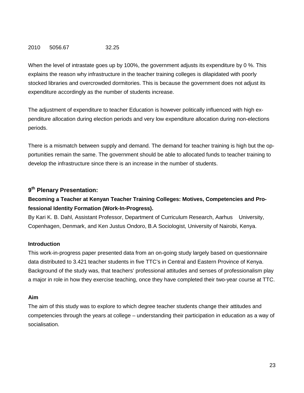#### 2010 5056.67 32.25

When the level of intrastate goes up by 100%, the government adjusts its expenditure by 0 %. This explains the reason why infrastructure in the teacher training colleges is dilapidated with poorly stocked libraries and overcrowded dormitories. This is because the government does not adjust its expenditure accordingly as the number of students increase.

The adjustment of expenditure to teacher Education is however politically influenced with high expenditure allocation during election periods and very low expenditure allocation during non-elections periods.

There is a mismatch between supply and demand. The demand for teacher training is high but the opportunities remain the same. The government should be able to allocated funds to teacher training to develop the infrastructure since there is an increase in the number of students.

## **9th Plenary Presentation:**

## **Becoming a Teacher at Kenyan Teacher Training Colleges: Motives, Competencies and Professional Identity Formation (Work-In-Progress).**

By Kari K. B. Dahl, Assistant Professor, Department of Curriculum Research, Aarhus University, Copenhagen, Denmark, and Ken Justus Ondoro, B.A Sociologist, University of Nairobi, Kenya.

#### **Introduction**

This work-in-progress paper presented data from an on-going study largely based on questionnaire data distributed to 3.421 teacher students in five TTC's in Central and Eastern Province of Kenya. Background of the study was, that teachers' professional attitudes and senses of professionalism play a major in role in how they exercise teaching, once they have completed their two-year course at TTC.

#### **Aim**

The aim of this study was to explore to which degree teacher students change their attitudes and competencies through the years at college – understanding their participation in education as a way of socialisation.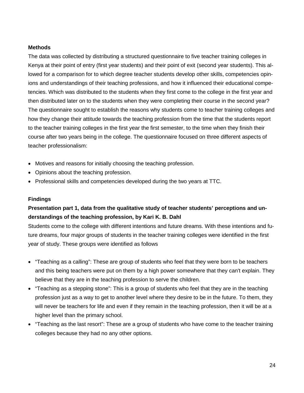#### **Methods**

The data was collected by distributing a structured questionnaire to five teacher training colleges in Kenya at their point of entry (first year students) and their point of exit (second year students). This allowed for a comparison for to which degree teacher students develop other skills, competencies opinions and understandings of their teaching professions, and how it influenced their educational competencies. Which was distributed to the students when they first come to the college in the first year and then distributed later on to the students when they were completing their course in the second year? The questionnaire sought to establish the reasons why students come to teacher training colleges and how they change their attitude towards the teaching profession from the time that the students report to the teacher training colleges in the first year the first semester, to the time when they finish their course after two years being in the college. The questionnaire focused on three different aspects of teacher professionalism:

- Motives and reasons for initially choosing the teaching profession.
- Opinions about the teaching profession.
- Professional skills and competencies developed during the two years at TTC.

#### **Findings**

## **Presentation part 1, data from the qualitative study of teacher students' perceptions and understandings of the teaching profession, by Kari K. B. Dahl**

Students come to the college with different intentions and future dreams. With these intentions and future dreams, four major groups of students in the teacher training colleges were identified in the first year of study. These groups were identified as follows

- "Teaching as a calling": These are group of students who feel that they were born to be teachers and this being teachers were put on them by a high power somewhere that they can't explain. They believe that they are in the teaching profession to serve the children.
- "Teaching as a stepping stone": This is a group of students who feel that they are in the teaching profession just as a way to get to another level where they desire to be in the future. To them, they will never be teachers for life and even if they remain in the teaching profession, then it will be at a higher level than the primary school.
- "Teaching as the last resort": These are a group of students who have come to the teacher training colleges because they had no any other options.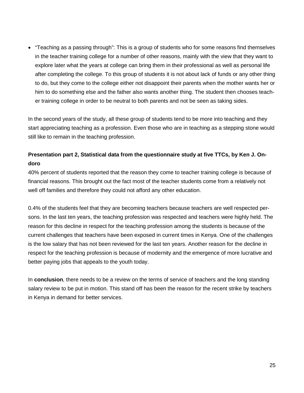• "Teaching as a passing through": This is a group of students who for some reasons find themselves in the teacher training college for a number of other reasons, mainly with the view that they want to explore later what the years at college can bring them in their professional as well as personal life after completing the college. To this group of students it is not about lack of funds or any other thing to do, but they come to the college either not disappoint their parents when the mother wants her or him to do something else and the father also wants another thing. The student then chooses teacher training college in order to be neutral to both parents and not be seen as taking sides.

In the second years of the study, all these group of students tend to be more into teaching and they start appreciating teaching as a profession. Even those who are in teaching as a stepping stone would still like to remain in the teaching profession.

## **Presentation part 2, Statistical data from the questionnaire study at five TTCs, by Ken J. Ondoro**

40% percent of students reported that the reason they come to teacher training college is because of financial reasons. This brought out the fact most of the teacher students come from a relatively not well off families and therefore they could not afford any other education.

0.4% of the students feel that they are becoming teachers because teachers are well respected persons. In the last ten years, the teaching profession was respected and teachers were highly held. The reason for this decline in respect for the teaching profession among the students is because of the current challenges that teachers have been exposed in current times in Kenya. One of the challenges is the low salary that has not been reviewed for the last ten years. Another reason for the decline in respect for the teaching profession is because of modernity and the emergence of more lucrative and better paying jobs that appeals to the youth today.

In **conclusion**, there needs to be a review on the terms of service of teachers and the long standing salary review to be put in motion. This stand off has been the reason for the recent strike by teachers in Kenya in demand for better services.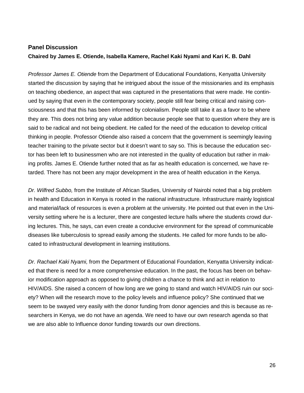## **Panel Discussion Chaired by James E. Otiende, Isabella Kamere, Rachel Kaki Nyami and Kari K. B. Dahl**

*Professor James E. Otiende* from the Department of Educational Foundations, Kenyatta University started the discussion by saying that he intrigued about the issue of the missionaries and its emphasis on teaching obedience, an aspect that was captured in the presentations that were made. He continued by saying that even in the contemporary society, people still fear being critical and raising consciousness and that this has been informed by colonialism. People still take it as a favor to be where they are. This does not bring any value addition because people see that to question where they are is said to be radical and not being obedient. He called for the need of the education to develop critical thinking in people. Professor Otiende also raised a concern that the government is seemingly leaving teacher training to the private sector but it doesn't want to say so. This is because the education sector has been left to businessmen who are not interested in the quality of education but rather in making profits. James E. Otiende further noted that as far as health education is concerned, we have retarded. There has not been any major development in the area of health education in the Kenya.

*Dr. Wilfred Subbo,* from the Institute of African Studies, University of Nairobi noted that a big problem in health and Education in Kenya is rooted in the national infrastructure. Infrastructure mainly logistical and material/lack of resources is even a problem at the university. He pointed out that even in the University setting where he is a lecturer, there are congested lecture halls where the students crowd during lectures. This, he says, can even create a conducive environment for the spread of communicable diseases like tuberculosis to spread easily among the students. He called for more funds to be allocated to infrastructural development in learning institutions.

*Dr. Rachael Kaki Nyami,* from the Department of Educational Foundation, Kenyatta University indicated that there is need for a more comprehensive education. In the past, the focus has been on behavior modification approach as opposed to giving children a chance to think and act in relation to HIV/AIDS. She raised a concern of how long are we going to stand and watch HIV/AIDS ruin our society? When will the research move to the policy levels and influence policy? She continued that we seem to be swayed very easily with the donor funding from donor agencies and this is because as researchers in Kenya, we do not have an agenda. We need to have our own research agenda so that we are also able to Influence donor funding towards our own directions.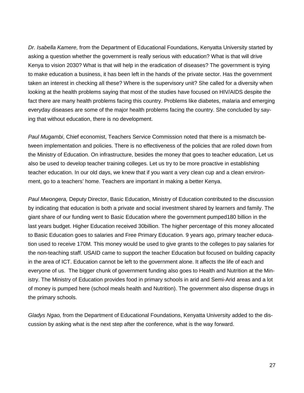*Dr. Isabella Kamere,* from the Department of Educational Foundations, Kenyatta University started by asking a question whether the government is really serious with education? What is that will drive Kenya to vision 2030? What is that will help in the eradication of diseases? The government is trying to make education a business, it has been left in the hands of the private sector. Has the government taken an interest in checking all these? Where is the supervisory unit? She called for a diversity when looking at the health problems saying that most of the studies have focused on HIV/AIDS despite the fact there are many health problems facing this country. Problems like diabetes, malaria and emerging everyday diseases are some of the major health problems facing the country. She concluded by saying that without education, there is no development.

*Paul Mugambi*, Chief economist, Teachers Service Commission noted that there is a mismatch between implementation and policies. There is no effectiveness of the policies that are rolled down from the Ministry of Education. On infrastructure, besides the money that goes to teacher education, Let us also be used to develop teacher training colleges. Let us try to be more proactive in establishing teacher education. In our old days, we knew that if you want a very clean cup and a clean environment, go to a teachers' home. Teachers are important in making a better Kenya.

*Paul Mwongera,* Deputy Director, Basic Education, Ministry of Education contributed to the discussion by indicating that education is both a private and social investment shared by learners and family. The giant share of our funding went to Basic Education where the government pumped180 billion in the last years budget. Higher Education received 30billion. The higher percentage of this money allocated to Basic Education goes to salaries and Free Primary Education. 9 years ago, primary teacher education used to receive 170M. This money would be used to give grants to the colleges to pay salaries for the non-teaching staff. USAID came to support the teacher Education but focused on building capacity in the area of ICT. Education cannot be left to the government alone. It affects the life of each and everyone of us. The bigger chunk of government funding also goes to Health and Nutrition at the Ministry. The Ministry of Education provides food in primary schools in arid and Semi-Arid areas and a lot of money is pumped here (school meals health and Nutrition). The government also dispense drugs in the primary schools.

*Gladys Ngao,* from the Department of Educational Foundations, Kenyatta University added to the discussion by asking what is the next step after the conference, what is the way forward.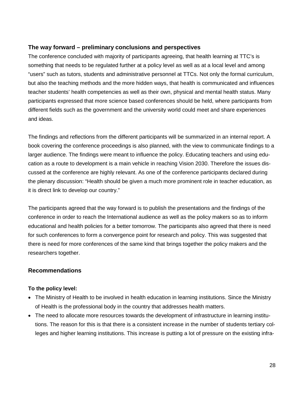#### **The way forward – preliminary conclusions and perspectives**

The conference concluded with majority of participants agreeing, that health learning at TTC's is something that needs to be regulated further at a policy level as well as at a local level and among "users" such as tutors, students and administrative personnel at TTCs. Not only the formal curriculum, but also the teaching methods and the more hidden ways, that health is communicated and influences teacher students' health competencies as well as their own, physical and mental health status. Many participants expressed that more science based conferences should be held, where participants from different fields such as the government and the university world could meet and share experiences and ideas.

The findings and reflections from the different participants will be summarized in an internal report. A book covering the conference proceedings is also planned, with the view to communicate findings to a larger audience. The findings were meant to influence the policy. Educating teachers and using education as a route to development is a main vehicle in reaching Vision 2030. Therefore the issues discussed at the conference are highly relevant. As one of the conference participants declared during the plenary discussion: "Health should be given a much more prominent role in teacher education, as it is direct link to develop our country."

The participants agreed that the way forward is to publish the presentations and the findings of the conference in order to reach the International audience as well as the policy makers so as to inform educational and health policies for a better tomorrow. The participants also agreed that there is need for such conferences to form a convergence point for research and policy. This was suggested that there is need for more conferences of the same kind that brings together the policy makers and the researchers together.

#### **Recommendations**

#### **To the policy level:**

- The Ministry of Health to be involved in health education in learning institutions. Since the Ministry of Health is the professional body in the country that addresses health matters.
- The need to allocate more resources towards the development of infrastructure in learning institutions. The reason for this is that there is a consistent increase in the number of students tertiary colleges and higher learning institutions. This increase is putting a lot of pressure on the existing infra-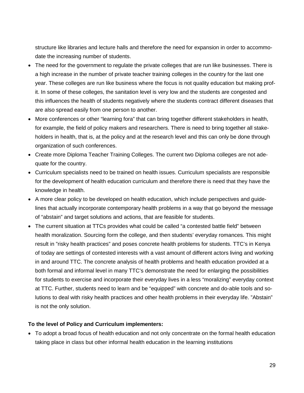structure like libraries and lecture halls and therefore the need for expansion in order to accommodate the increasing number of students.

- The need for the government to regulate the private colleges that are run like businesses. There is a high increase in the number of private teacher training colleges in the country for the last one year. These colleges are run like business where the focus is not quality education but making profit. In some of these colleges, the sanitation level is very low and the students are congested and this influences the health of students negatively where the students contract different diseases that are also spread easily from one person to another.
- More conferences or other "learning fora" that can bring together different stakeholders in health, for example, the field of policy makers and researchers. There is need to bring together all stakeholders in health, that is, at the policy and at the research level and this can only be done through organization of such conferences.
- Create more Diploma Teacher Training Colleges. The current two Diploma colleges are not adequate for the country.
- Curriculum specialists need to be trained on health issues. Curriculum specialists are responsible for the development of health education curriculum and therefore there is need that they have the knowledge in health.
- A more clear policy to be developed on health education, which include perspectives and guidelines that actually incorporate contemporary health problems in a way that go beyond the message of "abstain" and target solutions and actions, that are feasible for students.
- The current situation at TTCs provides what could be called "a contested battle field" between health moralization. Sourcing form the college, and then students' everyday romances. This might result in "risky health practices" and poses concrete health problems for students. TTC's in Kenya of today are settings of contested interests with a vast amount of different actors living and working in and around TTC. The concrete analysis of health problems and health education provided at a both formal and informal level in many TTC's demonstrate the need for enlarging the possibilities for students to exercise and incorporate their everyday lives in a less "moralizing" everyday context at TTC. Further, students need to learn and be "equipped" with concrete and do-able tools and solutions to deal with risky health practices and other health problems in their everyday life. "Abstain" is not the only solution.

#### **To the level of Policy and Curriculum implementers:**

• To adopt a broad focus of health education and not only concentrate on the formal health education taking place in class but other informal health education in the learning institutions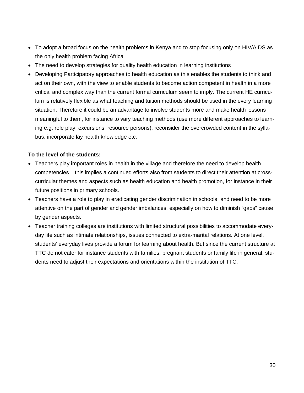- To adopt a broad focus on the health problems in Kenya and to stop focusing only on HIV/AIDS as the only health problem facing Africa
- The need to develop strategies for quality health education in learning institutions
- Developing Participatory approaches to health education as this enables the students to think and act on their own, with the view to enable students to become action competent in health in a more critical and complex way than the current formal curriculum seem to imply. The current HE curriculum is relatively flexible as what teaching and tuition methods should be used in the every learning situation. Therefore it could be an advantage to involve students more and make health lessons meaningful to them, for instance to vary teaching methods (use more different approaches to learning e.g. role play, excursions, resource persons), reconsider the overcrowded content in the syllabus, incorporate lay health knowledge etc.

#### **To the level of the students:**

- Teachers play important roles in health in the village and therefore the need to develop health competencies – this implies a continued efforts also from students to direct their attention at crosscurricular themes and aspects such as health education and health promotion, for instance in their future positions in primary schools.
- Teachers have a role to play in eradicating gender discrimination in schools, and need to be more attentive on the part of gender and gender imbalances, especially on how to diminish "gaps" cause by gender aspects.
- Teacher training colleges are institutions with limited structural possibilities to accommodate everyday life such as intimate relationships, issues connected to extra-marital relations. At one level, students' everyday lives provide a forum for learning about health. But since the current structure at TTC do not cater for instance students with families, pregnant students or family life in general, students need to adjust their expectations and orientations within the institution of TTC.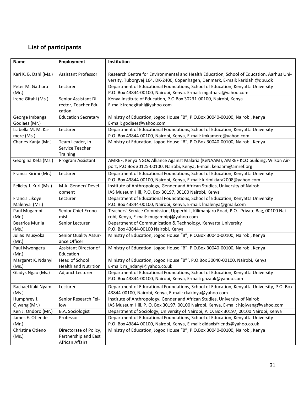## **List of participants**

| <b>Name</b>                      | <b>Employment</b>                                                 | Institution                                                                                                                                                               |
|----------------------------------|-------------------------------------------------------------------|---------------------------------------------------------------------------------------------------------------------------------------------------------------------------|
| Kari K. B. Dahl (Ms.)            | <b>Assistant Professor</b>                                        | Research Centre for Environmental and Health Education, School of Education, Aarhus Uni-<br>versity, Tuborgvej 164, DK-2400, Copenhagen, Denmark, E-mail: karidahl@dpu.dk |
| Peter M. Gathara<br>(Mr.)        | Lecturer                                                          | Department of Educational Foundations, School of Education, Kenyatta University<br>P.O. Box 43844-00100, Nairobi, Kenya. E-mail: mgathara@yahoo.com                       |
| Irene Gitahi (Ms.)               | Senior Assistant Di-<br>rector, Teacher Edu-<br>cation            | Kenya Institute of Education, P.O Box 30231-00100, Nairobi, Kenya<br>E-mail: irenegitahi@yahoo.com                                                                        |
| George Imbanga<br>Godiaes (Mr.)  | <b>Education Secretary</b>                                        | Ministry of Education, Jogoo House "B", P.O.Box 30040-00100, Nairobi, Kenya<br>E-mail: godiaes@yahoo.com                                                                  |
| Isabella M. M. Ka-<br>mere (Ms.) | Lecturer                                                          | Department of Educational Foundations, School of Education, Kenyatta University<br>P.O. Box 43844-00100, Nairobi, Kenya, E-mail: imkamere@yahoo.com                       |
| Charles Kanja (Mr.)              | Team Leader, In-<br>Service Teacher<br>Training                   | Ministry of Education, Jogoo House "B", P.O.Box 30040-00100, Nairobi, Kenya                                                                                               |
| Georgina Kefa (Ms.)              | Program Assistant                                                 | AMREF, Kenya NGOs Alliance Against Malaria (KeNAAM), AMREF KCO building, Wilson Air-<br>port, P.O Box 30125-00100, Nairobi, Kenya, E-mail: kenaam@amref.org               |
| Francis Kirimi (Mr.)             | Lecturer                                                          | Department of Educational Foundations, School of Education, Kenyatta University<br>P.O. Box 43844-00100, Nairobi, Kenya, E-mail: kirimikiara2008@yahoo.com                |
| Felicity J. Kuri (Ms.)           | M.A. Gender/ Devel-<br>opment                                     | Institute of Anthropology, Gender and African Studies, University of Nairobi<br>IAS Museum Hill, P.O. Box 30197, 00100 Nairobi, Kenya                                     |
| Francis Likoye<br>Malenya (Mr.)  | Lecturer                                                          | Department of Educational Foundations, School of Education, Kenyatta University<br>P.O. Box 43844-00100, Nairobi, Kenya, E-mail: Imalenya@gmail.com                       |
| Paul Mugambi<br>(Mr.)            | Senior Chief Econo-<br>mist                                       | Teachers' Service Commission, Upperhill, Kilimanjaro Road, P.O. Private Bag, 00100 Nai-<br>robi, Kenya, E-mail: mugambipj@yahoo.com                                       |
| <b>Beatrice Murila</b><br>(Ms.)  | Senior Lecturer                                                   | Department of Communication & Technology, Kenyatta University<br>P.O. Box 43844-00100 Nairobi, Kenya                                                                      |
| Julias Musyoka<br>(Mr.)          | Senior Quality Assur-<br>ance Officer                             | Ministry of Education, Jogoo House "B", P.O.Box 30040-00100, Nairobi, Kenya                                                                                               |
| Paul Mwongera<br>(Mr.)           | Assistant Director of<br>Education                                | Ministry of Education, Jogoo House "B", P.O.Box 30040-00100, Nairobi, Kenya                                                                                               |
| Margaret K. Ndanyi<br>(Ms.)      | Head of School<br><b>Health and Nutrition</b>                     | Ministry of Education, Jogoo House "B"', P.O.Box 30040-00100, Nairobi, Kenya<br>E-mail: m_ndanyi@yahoo.co.uk                                                              |
| Gladys Ngao (Ms.)                | Adjunct Lecturer                                                  | Department of Educational Foundations, School of Education, Kenyatta University<br>P.O. Box 43844-00100, Nairobi, Kenya, E-mail: gnzauk@yahoo.com                         |
| Rachael Kaki Nyami<br>(Ms.)      | Lecturer                                                          | Department of Educational Foundations, School of Education, Kenyatta University, P.O. Box<br>43844-00100, Nairobi, Kenya, E-mail: rkakinya@yahoo.com                      |
| Humphrey J.<br>Ojwang (Mr.)      | Senior Research Fel-<br>low                                       | Institute of Anthropology, Gender and African Studies, University of Nairobi<br>IAS Museum Hill, P. O. Box 30197, 00100 Nairobi, Kenya, E-mail: hjojwang@yahoo.com        |
| Ken J. Ondoro (Mr.)              | <b>B.A. Sociologist</b>                                           | Department of Sociology, University of Nairobi, P. O. Box 30197, 00100 Nairobi, Kenya                                                                                     |
| James E. Otiende<br>(Mr.)        | Professor                                                         | Department of Educational Foundations, School of Education, Kenyatta University<br>P.O. Box 43844-00100, Nairobi, Kenya, E-mail: didaxisfriends@yahoo.co.uk               |
| Christine Otieno<br>(Ms.)        | Directorate of Policy,<br>Partnership and East<br>African Affairs | Ministry of Education, Jogoo House "B", P.O.Box 30040-00100, Nairobi, Kenya                                                                                               |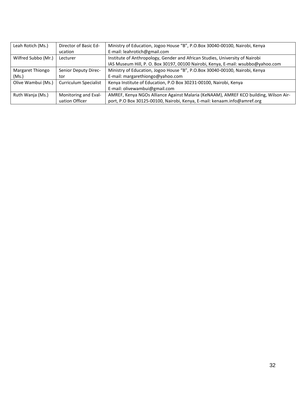| Leah Rotich (Ms.)   | Director of Basic Ed-        | Ministry of Education, Jogoo House "B", P.O.Box 30040-00100, Nairobi, Kenya          |
|---------------------|------------------------------|--------------------------------------------------------------------------------------|
|                     | ucation                      | E-mail: leahrotich@gmail.com                                                         |
| Wilfred Subbo (Mr.) | Lecturer                     | Institute of Anthropology, Gender and African Studies, University of Nairobi         |
|                     |                              | IAS Museum Hill, P. O. Box 30197, 00100 Nairobi, Kenya, E-mail: wsubbo@yahoo.com     |
| Margaret Thiongo    | Senior Deputy Direc-         | Ministry of Education, Jogoo House "B", P.O.Box 30040-00100, Nairobi, Kenya          |
| (Ms.)               | tor                          | E-mail: margarethiongo@yahoo.com                                                     |
| Olive Wambui (Ms.)  | <b>Curriculum Specialist</b> | Kenya Institute of Education, P.O Box 30231-00100, Nairobi, Kenya                    |
|                     |                              | E-mail: olivewambui@gmail.com                                                        |
| Ruth Wanja (Ms.)    | Monitoring and Eval-         | AMREF, Kenya NGOs Alliance Against Malaria (KeNAAM), AMREF KCO building, Wilson Air- |
|                     | uation Officer               | port, P.O Box 30125-00100, Nairobi, Kenya, E-mail: kenaam.info@amref.org             |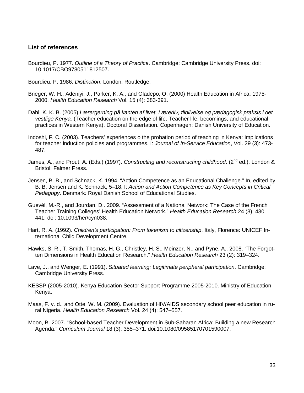#### **List of references**

- Bourdieu, P. 1977. *Outline of a Theory of Practice*. Cambridge: Cambridge University Press. doi: 10.1017/CBO9780511812507.
- Bourdieu, P. 1986. *Distinction*. London: Routledge.
- Brieger, W. H., Adeniyi, J., Parker, K. A., and Oladepo, O. (2000) Health Education in Africa: 1975- 2000. *Health Education Research* Vol. 15 (4): 383-391.
- Dahl, K. K. B. (2005) *Lærergerning på kanten af livet. Lærerliv, tilblivelse og pædagogisk praksis i det vestlige Kenya.* (Teacher education on the edge of life. Teacher life, becomings, and educational practices in Western Kenya). Doctoral Dissertation. Copenhagen: Danish University of Education.
- Indoshi, F. C. (2003). Teachers' experiences o the probation period of teaching in Kenya: implications for teacher induction policies and programmes. I: *Journal of In-Service Education*, Vol. 29 (3): 473- 487.
- James, A., and Prout, A. (Eds.) (1997). *Constructing and reconstructing childhood.* (2<sup>nd</sup> ed.). London & Bristol: Falmer Press.
- Jensen, B. B., and Schnack, K. 1994. "Action Competence as an Educational Challenge." In, edited by B. B. Jensen and K. Schnack, 5–18. I: *Action and Action Competence as Key Concepts in Critical Pedagogy*. Denmark*:* Royal Danish School of Educational Studies.
- Guevél, M.-R., and Jourdan, D.. 2009. "Assessment of a National Network: The Case of the French Teacher Training Colleges' Health Education Network." *Health Education Research* 24 (3): 430– 441. doi: 10.1093/her/cyn038.
- Hart, R. A. (1992). *Children's participation: From tokenism to citizenship*. Italy, Florence: UNICEF International Child Development Centre.
- Hawks, S. R., T. Smith, Thomas, H. G., Christley, H. S., Meinzer, N., and Pyne, A.. 2008. "The Forgotten Dimensions in Health Education Research." *Health Education Research* 23 (2): 319–324.
- Lave, J., and Wenger, E. (1991). *Situated learning: Legitimate peripheral participation*. Cambridge: Cambridge University Press.
- KESSP (2005-2010). Kenya Education Sector Support Programme 2005-2010. Ministry of Education, Kenya.
- Maas, F. v. d., and Otte, W. M. (2009). Evaluation of HIV/AIDS secondary school peer education in rural Nigeria. *Health Education Research* Vol. 24 (4): 547–557.
- Moon, B. 2007. "School-based Teacher Development in Sub-Saharan Africa: Building a new Research Agenda." *Curriculum Journal* 18 (3): 355–371. doi:10.1080/09585170701590007.